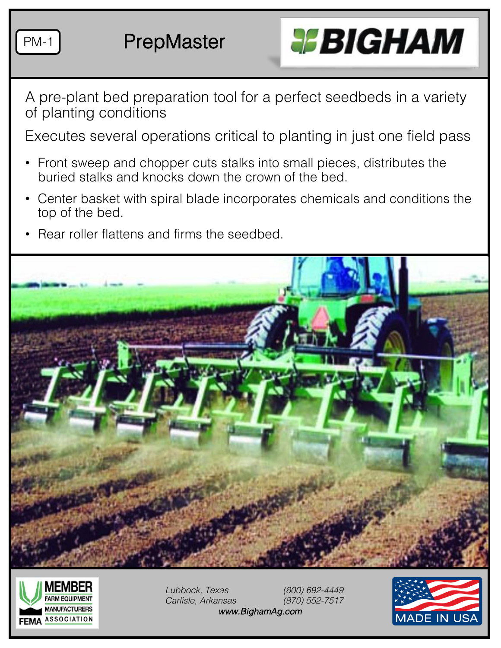

PM-1 PrepMaster



A pre-plant bed preparation tool for a perfect seedbeds in a variety of planting conditions

Executes several operations critical to planting in just one field pass

- Front sweep and chopper cuts stalks into small pieces, distributes the buried stalks and knocks down the crown of the bed.
- Center basket with spiral blade incorporates chemicals and conditions the top of the bed.
- Rear roller flattens and firms the seedbed.





*Lubbock, Texas (800) 692-4449 Carlisle, Arkansas (870) 552-7517 www.BighamAg.com*